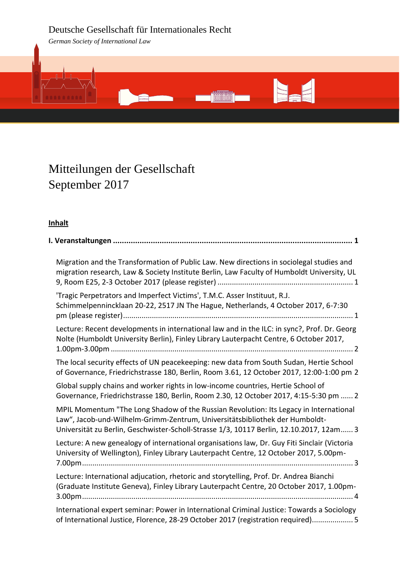## Deutsche Gesellschaft für Internationales Recht

*German Society of International Law*



# Mitteilungen der Gesellschaft September 2017

## **Inhalt**

| Migration and the Transformation of Public Law. New directions in sociolegal studies and<br>migration research, Law & Society Institute Berlin, Law Faculty of Humboldt University, UL                                                                          |
|-----------------------------------------------------------------------------------------------------------------------------------------------------------------------------------------------------------------------------------------------------------------|
| 'Tragic Perpetrators and Imperfect Victims', T.M.C. Asser Instituut, R.J.<br>Schimmelpennincklaan 20-22, 2517 JN The Hague, Netherlands, 4 October 2017, 6-7:30                                                                                                 |
| Lecture: Recent developments in international law and in the ILC: in sync?, Prof. Dr. Georg<br>Nolte (Humboldt University Berlin), Finley Library Lauterpacht Centre, 6 October 2017,                                                                           |
| The local security effects of UN peacekeeping: new data from South Sudan, Hertie School<br>of Governance, Friedrichstrasse 180, Berlin, Room 3.61, 12 October 2017, 12:00-1:00 pm 2                                                                             |
| Global supply chains and worker rights in low-income countries, Hertie School of<br>Governance, Friedrichstrasse 180, Berlin, Room 2.30, 12 October 2017, 4:15-5:30 pm  2                                                                                       |
| MPIL Momentum "The Long Shadow of the Russian Revolution: Its Legacy in International<br>Law", Jacob-und-Wilhelm-Grimm-Zentrum, Universitätsbibliothek der Humboldt-<br>Universität zu Berlin, Geschwister-Scholl-Strasse 1/3, 10117 Berlin, 12.10.2017, 12am 3 |
| Lecture: A new genealogy of international organisations law, Dr. Guy Fiti Sinclair (Victoria<br>University of Wellington), Finley Library Lauterpacht Centre, 12 October 2017, 5.00pm-                                                                          |
| Lecture: International adjucation, rhetoric and storytelling, Prof. Dr. Andrea Bianchi<br>(Graduate Institute Geneva), Finley Library Lauterpacht Centre, 20 October 2017, 1.00pm-                                                                              |
| International expert seminar: Power in International Criminal Justice: Towards a Sociology<br>of International Justice, Florence, 28-29 October 2017 (registration required) 5                                                                                  |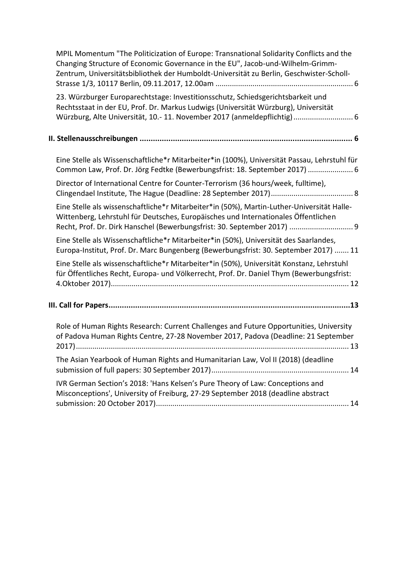| MPIL Momentum "The Politicization of Europe: Transnational Solidarity Conflicts and the<br>Changing Structure of Economic Governance in the EU", Jacob-und-Wilhelm-Grimm-<br>Zentrum, Universitätsbibliothek der Humboldt-Universität zu Berlin, Geschwister-Scholl- |
|----------------------------------------------------------------------------------------------------------------------------------------------------------------------------------------------------------------------------------------------------------------------|
| 23. Würzburger Europarechtstage: Investitionsschutz, Schiedsgerichtsbarkeit und<br>Rechtsstaat in der EU, Prof. Dr. Markus Ludwigs (Universität Würzburg), Universität<br>Würzburg, Alte Universität, 10.- 11. November 2017 (anmeldepflichtig) 6                    |
|                                                                                                                                                                                                                                                                      |
| Eine Stelle als Wissenschaftliche*r Mitarbeiter*in (100%), Universität Passau, Lehrstuhl für<br>Common Law, Prof. Dr. Jörg Fedtke (Bewerbungsfrist: 18. September 2017)  6                                                                                           |
| Director of International Centre for Counter-Terrorism (36 hours/week, fulltime),                                                                                                                                                                                    |
| Eine Stelle als wissenschaftliche*r Mitarbeiter*in (50%), Martin-Luther-Universität Halle-<br>Wittenberg, Lehrstuhl für Deutsches, Europäisches und Internationales Öffentlichen<br>Recht, Prof. Dr. Dirk Hanschel (Bewerbungsfrist: 30. September 2017)  9          |
| Eine Stelle als Wissenschaftliche*r Mitarbeiter*in (50%), Universität des Saarlandes,<br>Europa-Institut, Prof. Dr. Marc Bungenberg (Bewerbungsfrist: 30. September 2017)  11                                                                                        |
| Eine Stelle als wissenschaftliche*r Mitarbeiter*in (50%), Universität Konstanz, Lehrstuhl<br>für Öffentliches Recht, Europa- und Völkerrecht, Prof. Dr. Daniel Thym (Bewerbungsfrist:                                                                                |
|                                                                                                                                                                                                                                                                      |
| Role of Human Rights Research: Current Challenges and Future Opportunities, University<br>of Padova Human Rights Centre, 27-28 November 2017, Padova (Deadline: 21 September                                                                                         |
| The Asian Yearbook of Human Rights and Humanitarian Law, Vol II (2018) (deadline                                                                                                                                                                                     |
| IVR German Section's 2018: 'Hans Kelsen's Pure Theory of Law: Conceptions and<br>Misconceptions', University of Freiburg, 27-29 September 2018 (deadline abstract                                                                                                    |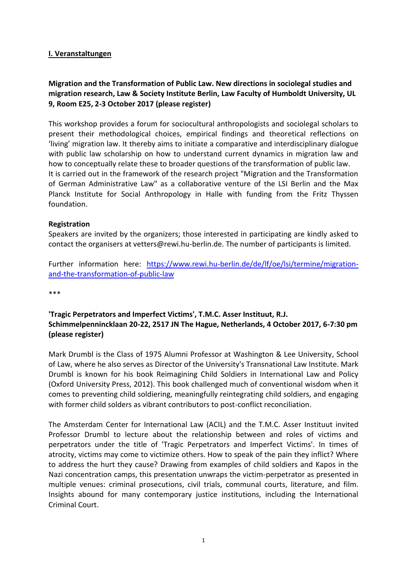#### <span id="page-2-0"></span>**I. Veranstaltungen**

## <span id="page-2-1"></span>**Migration and the Transformation of Public Law. New directions in sociolegal studies and migration research, Law & Society Institute Berlin, Law Faculty of Humboldt University, UL 9, Room E25, 2-3 October 2017 (please register)**

This workshop provides a forum for sociocultural anthropologists and sociolegal scholars to present their methodological choices, empirical findings and theoretical reflections on 'living' migration law. It thereby aims to initiate a comparative and interdisciplinary dialogue with public law scholarship on how to understand current dynamics in migration law and how to conceptually relate these to broader questions of the transformation of public law. It is carried out in the framework of the research project "Migration and the Transformation of German Administrative Law" as a collaborative venture of the LSI Berlin and the Max Planck Institute for Social Anthropology in Halle with funding from the Fritz Thyssen foundation.

#### **Registration**

Speakers are invited by the organizers; those interested in participating are kindly asked to contact the organisers at vetters@rewi.hu-berlin.de. The number of participants is limited.

Further information here: [https://www.rewi.hu-berlin.de/de/lf/oe/lsi/termine/migration](https://www.rewi.hu-berlin.de/de/lf/oe/lsi/termine/migration-and-the-transformation-of-public-law)[and-the-transformation-of-public-law](https://www.rewi.hu-berlin.de/de/lf/oe/lsi/termine/migration-and-the-transformation-of-public-law)

\*\*\*

## <span id="page-2-2"></span>**'Tragic Perpetrators and Imperfect Victims', T.M.C. Asser Instituut, R.J. Schimmelpennincklaan 20-22, 2517 JN The Hague, Netherlands, 4 October 2017, 6-7:30 pm (please register)**

Mark Drumbl is the Class of 1975 Alumni Professor at Washington & Lee University, School of Law, where he also serves as Director of the University's Transnational Law Institute. Mark Drumbl is known for his book Reimagining Child Soldiers in International Law and Policy (Oxford University Press, 2012). This book challenged much of conventional wisdom when it comes to preventing child soldiering, meaningfully reintegrating child soldiers, and engaging with former child solders as vibrant contributors to post-conflict reconciliation.

The Amsterdam Center for International Law (ACIL) and the T.M.C. Asser Instituut invited Professor Drumbl to lecture about the relationship between and roles of victims and perpetrators under the title of 'Tragic Perpetrators and Imperfect Victims'. In times of atrocity, victims may come to victimize others. How to speak of the pain they inflict? Where to address the hurt they cause? Drawing from examples of child soldiers and Kapos in the Nazi concentration camps, this presentation unwraps the victim-perpetrator as presented in multiple venues: criminal prosecutions, civil trials, communal courts, literature, and film. Insights abound for many contemporary justice institutions, including the International Criminal Court.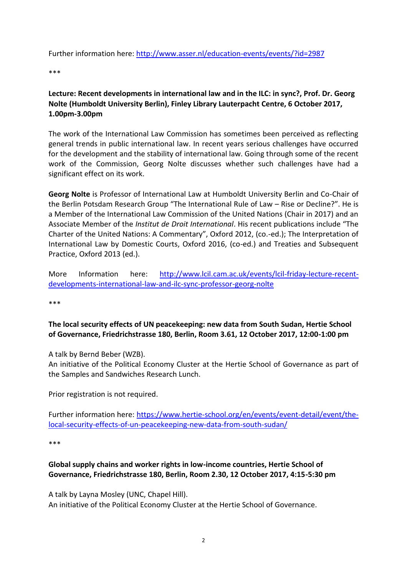Further information here:<http://www.asser.nl/education-events/events/?id=2987>

\*\*\*

## <span id="page-3-0"></span>**Lecture: Recent developments in international law and in the ILC: in sync?, Prof. Dr. Georg Nolte (Humboldt University Berlin), Finley Library Lauterpacht Centre, 6 October 2017, 1.00pm-3.00pm**

The work of the International Law Commission has sometimes been perceived as reflecting general trends in public international law. In recent years serious challenges have occurred for the development and the stability of international law. Going through some of the recent work of the Commission, Georg Nolte discusses whether such challenges have had a significant effect on its work.

**Georg Nolte** is Professor of International Law at Humboldt University Berlin and Co-Chair of the Berlin Potsdam Research Group "The International Rule of Law – Rise or Decline?". He is a Member of the International Law Commission of the United Nations (Chair in 2017) and an Associate Member of the *Institut de Droit International*. His recent publications include "The Charter of the United Nations: A Commentary", Oxford 2012, (co.-ed.); The Interpretation of International Law by Domestic Courts, Oxford 2016, (co-ed.) and Treaties and Subsequent Practice, Oxford 2013 (ed.).

More Information here: [http://www.lcil.cam.ac.uk/events/lcil-friday-lecture-recent](http://www.lcil.cam.ac.uk/events/lcil-friday-lecture-recent-developments-international-law-and-ilc-sync-professor-georg-nolte)[developments-international-law-and-ilc-sync-professor-georg-nolte](http://www.lcil.cam.ac.uk/events/lcil-friday-lecture-recent-developments-international-law-and-ilc-sync-professor-georg-nolte)

\*\*\*

## <span id="page-3-1"></span>**The local security effects of UN peacekeeping: new data from South Sudan, Hertie School of Governance, Friedrichstrasse 180, Berlin, Room 3.61, 12 October 2017, 12:00-1:00 pm**

A talk by Bernd Beber (WZB).

An initiative of the Political Economy Cluster at the Hertie School of Governance as part of the Samples and Sandwiches Research Lunch.

Prior registration is not required.

Further information here: [https://www.hertie-school.org/en/events/event-detail/event/the](https://www.hertie-school.org/en/events/event-detail/event/the-local-security-effects-of-un-peacekeeping-new-data-from-south-sudan/)[local-security-effects-of-un-peacekeeping-new-data-from-south-sudan/](https://www.hertie-school.org/en/events/event-detail/event/the-local-security-effects-of-un-peacekeeping-new-data-from-south-sudan/)

\*\*\*

## <span id="page-3-2"></span>**Global supply chains and worker rights in low-income countries, Hertie School of Governance, Friedrichstrasse 180, Berlin, Room 2.30, 12 October 2017, 4:15-5:30 pm**

A talk by Layna Mosley (UNC, Chapel Hill). An initiative of the Political Economy Cluster at the Hertie School of Governance.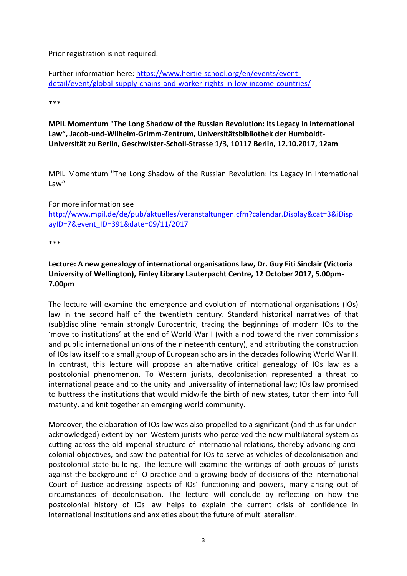Prior registration is not required.

Further information here: [https://www.hertie-school.org/en/events/event](https://www.hertie-school.org/en/events/event-detail/event/global-supply-chains-and-worker-rights-in-low-income-countries/)[detail/event/global-supply-chains-and-worker-rights-in-low-income-countries/](https://www.hertie-school.org/en/events/event-detail/event/global-supply-chains-and-worker-rights-in-low-income-countries/)

#### \*\*\*

## <span id="page-4-0"></span>**MPIL Momentum "The Long Shadow of the Russian Revolution: Its Legacy in International Law", Jacob-und-Wilhelm-Grimm-Zentrum, Universitätsbibliothek der Humboldt-Universität zu Berlin, Geschwister-Scholl-Strasse 1/3, 10117 Berlin, 12.10.2017, 12am**

MPIL Momentum "The Long Shadow of the Russian Revolution: Its Legacy in International Law"

For more information see [http://www.mpil.de/de/pub/aktuelles/veranstaltungen.cfm?calendar.Display&cat=3&iDispl](http://www.mpil.de/de/pub/aktuelles/veranstaltungen.cfm?calendar.Display&cat=3&iDisplayID=7&event_ID=391&date=09/11/2017) [ayID=7&event\\_ID=391&date=09/11/2017](http://www.mpil.de/de/pub/aktuelles/veranstaltungen.cfm?calendar.Display&cat=3&iDisplayID=7&event_ID=391&date=09/11/2017)

\*\*\*

## <span id="page-4-1"></span>**Lecture: A new genealogy of international organisations law, Dr. Guy Fiti Sinclair (Victoria University of Wellington), Finley Library Lauterpacht Centre, 12 October 2017, 5.00pm-7.00pm**

The lecture will examine the emergence and evolution of international organisations (IOs) law in the second half of the twentieth century. Standard historical narratives of that (sub)discipline remain strongly Eurocentric, tracing the beginnings of modern IOs to the 'move to institutions' at the end of World War I (with a nod toward the river commissions and public international unions of the nineteenth century), and attributing the construction of IOs law itself to a small group of European scholars in the decades following World War II. In contrast, this lecture will propose an alternative critical genealogy of IOs law as a postcolonial phenomenon. To Western jurists, decolonisation represented a threat to international peace and to the unity and universality of international law; IOs law promised to buttress the institutions that would midwife the birth of new states, tutor them into full maturity, and knit together an emerging world community.

Moreover, the elaboration of IOs law was also propelled to a significant (and thus far underacknowledged) extent by non-Western jurists who perceived the new multilateral system as cutting across the old imperial structure of international relations, thereby advancing anticolonial objectives, and saw the potential for IOs to serve as vehicles of decolonisation and postcolonial state-building. The lecture will examine the writings of both groups of jurists against the background of IO practice and a growing body of decisions of the International Court of Justice addressing aspects of IOs' functioning and powers, many arising out of circumstances of decolonisation. The lecture will conclude by reflecting on how the postcolonial history of IOs law helps to explain the current crisis of confidence in international institutions and anxieties about the future of multilateralism.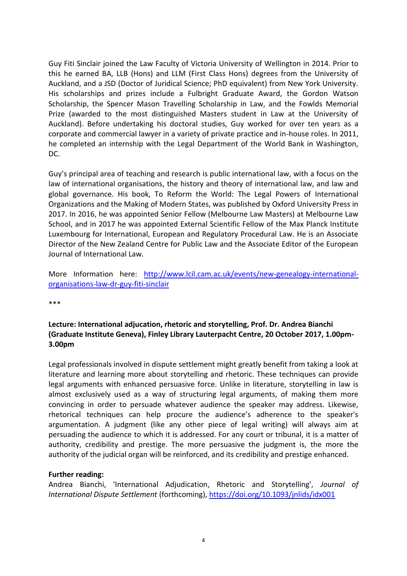Guy Fiti Sinclair joined the Law Faculty of Victoria University of Wellington in 2014. Prior to this he earned BA, LLB (Hons) and LLM (First Class Hons) degrees from the University of Auckland, and a JSD (Doctor of Juridical Science; PhD equivalent) from New York University. His scholarships and prizes include a Fulbright Graduate Award, the Gordon Watson Scholarship, the Spencer Mason Travelling Scholarship in Law, and the Fowlds Memorial Prize (awarded to the most distinguished Masters student in Law at the University of Auckland). Before undertaking his doctoral studies, Guy worked for over ten years as a corporate and commercial lawyer in a variety of private practice and in-house roles. In 2011, he completed an internship with the Legal Department of the World Bank in Washington, DC.

Guy's principal area of teaching and research is public international law, with a focus on the law of international organisations, the history and theory of international law, and law and global governance. His book, To Reform the World: The Legal Powers of International Organizations and the Making of Modern States, was published by Oxford University Press in 2017. In 2016, he was appointed Senior Fellow (Melbourne Law Masters) at Melbourne Law School, and in 2017 he was appointed External Scientific Fellow of the Max Planck Institute Luxembourg for International, European and Regulatory Procedural Law. He is an Associate Director of the New Zealand Centre for Public Law and the Associate Editor of the European Journal of International Law.

More Information here: [http://www.lcil.cam.ac.uk/events/new-genealogy-international](http://www.lcil.cam.ac.uk/events/new-genealogy-international-organisations-law-dr-guy-fiti-sinclair)[organisations-law-dr-guy-fiti-sinclair](http://www.lcil.cam.ac.uk/events/new-genealogy-international-organisations-law-dr-guy-fiti-sinclair)

\*\*\*

## <span id="page-5-0"></span>**Lecture: International adjucation, rhetoric and storytelling, Prof. Dr. Andrea Bianchi (Graduate Institute Geneva), Finley Library Lauterpacht Centre, 20 October 2017, 1.00pm-3.00pm**

Legal professionals involved in dispute settlement might greatly benefit from taking a look at literature and learning more about storytelling and rhetoric. These techniques can provide legal arguments with enhanced persuasive force. Unlike in literature, storytelling in law is almost exclusively used as a way of structuring legal arguments, of making them more convincing in order to persuade whatever audience the speaker may address. Likewise, rhetorical techniques can help procure the audience's adherence to the speaker's argumentation. A judgment (like any other piece of legal writing) will always aim at persuading the audience to which it is addressed. For any court or tribunal, it is a matter of authority, credibility and prestige. The more persuasive the judgment is, the more the authority of the judicial organ will be reinforced, and its credibility and prestige enhanced.

## **Further reading:**

Andrea Bianchi, 'International Adjudication, Rhetoric and Storytelling', *Journal of International Dispute Settlement* (forthcoming)[, https://doi.org/10.1093/jnlids/idx001](https://doi.org/10.1093/jnlids/idx001)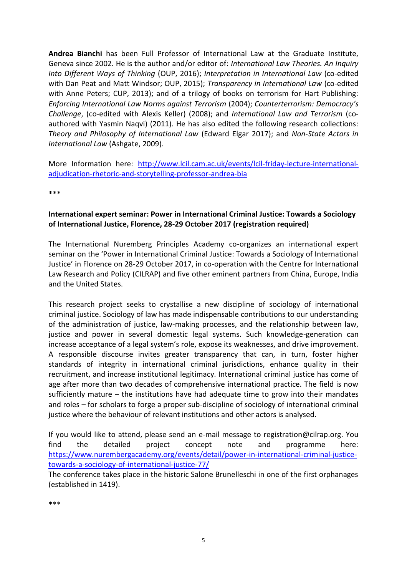**Andrea Bianchi** has been Full Professor of International Law at the Graduate Institute, Geneva since 2002. He is the author and/or editor of: *International Law Theories. An Inquiry Into Different Ways of Thinking* (OUP, 2016); *Interpretation in International Law* (co-edited with Dan Peat and Matt Windsor; OUP, 2015); *Transparency in International Law* (co-edited with Anne Peters; CUP, 2013); and of a trilogy of books on terrorism for Hart Publishing: *Enforcing International Law Norms against Terrorism* (2004); *Counterterrorism: Democracy's Challenge*, (co-edited with Alexis Keller) (2008); and *International Law and Terrorism* (coauthored with Yasmin Naqvi) (2011). He has also edited the following research collections: *Theory and Philosophy of International Law* (Edward Elgar 2017); and *Non-State Actors in International Law* (Ashgate, 2009).

More Information here: [http://www.lcil.cam.ac.uk/events/lcil-friday-lecture-international](http://www.lcil.cam.ac.uk/events/lcil-friday-lecture-international-adjudication-rhetoric-and-storytelling-professor-andrea-bia)[adjudication-rhetoric-and-storytelling-professor-andrea-bia](http://www.lcil.cam.ac.uk/events/lcil-friday-lecture-international-adjudication-rhetoric-and-storytelling-professor-andrea-bia)

\*\*\*

## <span id="page-6-0"></span>**International expert seminar: Power in International Criminal Justice: Towards a Sociology of International Justice, Florence, 28-29 October 2017 (registration required)**

The International Nuremberg Principles Academy co-organizes an international expert seminar on the 'Power in International Criminal Justice: Towards a Sociology of International Justice' in Florence on 28-29 October 2017, in co-operation with the Centre for International Law Research and Policy (CILRAP) and five other eminent partners from China, Europe, India and the United States.

This research project seeks to crystallise a new discipline of sociology of international criminal justice. Sociology of law has made indispensable contributions to our understanding of the administration of justice, law-making processes, and the relationship between law, justice and power in several domestic legal systems. Such knowledge-generation can increase acceptance of a legal system's role, expose its weaknesses, and drive improvement. A responsible discourse invites greater transparency that can, in turn, foster higher standards of integrity in international criminal jurisdictions, enhance quality in their recruitment, and increase institutional legitimacy. International criminal justice has come of age after more than two decades of comprehensive international practice. The field is now sufficiently mature – the institutions have had adequate time to grow into their mandates and roles – for scholars to forge a proper sub-discipline of sociology of international criminal justice where the behaviour of relevant institutions and other actors is analysed.

If you would like to attend, please send an e-mail message to registration@cilrap.org. You find the detailed project concept note and programme here: [https://www.nurembergacademy.org/events/detail/power-in-international-criminal-justice](https://www.nurembergacademy.org/events/detail/power-in-international-criminal-justice-towards-a-sociology-of-international-justice-77/)[towards-a-sociology-of-international-justice-77/](https://www.nurembergacademy.org/events/detail/power-in-international-criminal-justice-towards-a-sociology-of-international-justice-77/)

The conference takes place in the historic Salone Brunelleschi in one of the first orphanages (established in 1419).

\*\*\*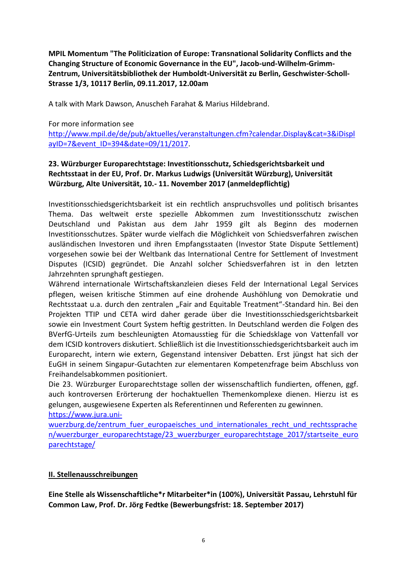<span id="page-7-0"></span>**MPIL Momentum "The Politicization of Europe: Transnational Solidarity Conflicts and the Changing Structure of Economic Governance in the EU", Jacob-und-Wilhelm-Grimm-Zentrum, Universitätsbibliothek der Humboldt-Universität zu Berlin, Geschwister-Scholl-Strasse 1/3, 10117 Berlin, 09.11.2017, 12.00am**

A talk with Mark Dawson, Anuscheh Farahat & Marius Hildebrand.

For more information see [http://www.mpil.de/de/pub/aktuelles/veranstaltungen.cfm?calendar.Display&cat=3&iDispl](http://www.mpil.de/de/pub/aktuelles/veranstaltungen.cfm?calendar.Display&cat=3&iDisplayID=7&event_ID=394&date=09/11/2017) [ayID=7&event\\_ID=394&date=09/11/2017.](http://www.mpil.de/de/pub/aktuelles/veranstaltungen.cfm?calendar.Display&cat=3&iDisplayID=7&event_ID=394&date=09/11/2017)

## <span id="page-7-1"></span>**23. Würzburger Europarechtstage: Investitionsschutz, Schiedsgerichtsbarkeit und Rechtsstaat in der EU, Prof. Dr. Markus Ludwigs (Universität Würzburg), Universität Würzburg, Alte Universität, 10.- 11. November 2017 (anmeldepflichtig)**

Investitionsschiedsgerichtsbarkeit ist ein rechtlich anspruchsvolles und politisch brisantes Thema. Das weltweit erste spezielle Abkommen zum Investitionsschutz zwischen Deutschland und Pakistan aus dem Jahr 1959 gilt als Beginn des modernen Investitionsschutzes. Später wurde vielfach die Möglichkeit von Schiedsverfahren zwischen ausländischen Investoren und ihren Empfangsstaaten (Investor State Dispute Settlement) vorgesehen sowie bei der Weltbank das International Centre for Settlement of Investment Disputes (ICSID) gegründet. Die Anzahl solcher Schiedsverfahren ist in den letzten Jahrzehnten sprunghaft gestiegen.

Während internationale Wirtschaftskanzleien dieses Feld der International Legal Services pflegen, weisen kritische Stimmen auf eine drohende Aushöhlung von Demokratie und Rechtsstaat u.a. durch den zentralen "Fair and Equitable Treatment"-Standard hin. Bei den Projekten TTIP und CETA wird daher gerade über die Investitionsschiedsgerichtsbarkeit sowie ein Investment Court System heftig gestritten. In Deutschland werden die Folgen des BVerfG-Urteils zum beschleunigten Atomausstieg für die Schiedsklage von Vattenfall vor dem ICSID kontrovers diskutiert. Schließlich ist die Investitionsschiedsgerichtsbarkeit auch im Europarecht, intern wie extern, Gegenstand intensiver Debatten. Erst jüngst hat sich der EuGH in seinem Singapur-Gutachten zur elementaren Kompetenzfrage beim Abschluss von Freihandelsabkommen positioniert.

Die 23. Würzburger Europarechtstage sollen der wissenschaftlich fundierten, offenen, ggf. auch kontroversen Erörterung der hochaktuellen Themenkomplexe dienen. Hierzu ist es gelungen, ausgewiesene Experten als Referentinnen und Referenten zu gewinnen.

[https://www.jura.uni-](https://www.jura.uni-wuerzburg.de/zentrum_fuer_europaeisches_und_internationales_recht_und_rechtssprachen/wuerzburger_europarechtstage/23_wuerzburger_europarechtstage_2017/startseite_europarechtstage/)

[wuerzburg.de/zentrum\\_fuer\\_europaeisches\\_und\\_internationales\\_recht\\_und\\_rechtssprache](https://www.jura.uni-wuerzburg.de/zentrum_fuer_europaeisches_und_internationales_recht_und_rechtssprachen/wuerzburger_europarechtstage/23_wuerzburger_europarechtstage_2017/startseite_europarechtstage/) [n/wuerzburger\\_europarechtstage/23\\_wuerzburger\\_europarechtstage\\_2017/startseite\\_euro](https://www.jura.uni-wuerzburg.de/zentrum_fuer_europaeisches_und_internationales_recht_und_rechtssprachen/wuerzburger_europarechtstage/23_wuerzburger_europarechtstage_2017/startseite_europarechtstage/) [parechtstage/](https://www.jura.uni-wuerzburg.de/zentrum_fuer_europaeisches_und_internationales_recht_und_rechtssprachen/wuerzburger_europarechtstage/23_wuerzburger_europarechtstage_2017/startseite_europarechtstage/)

## <span id="page-7-2"></span>**II. Stellenausschreibungen**

<span id="page-7-3"></span>**Eine Stelle als Wissenschaftliche\*r Mitarbeiter\*in (100%), Universität Passau, Lehrstuhl für Common Law, Prof. Dr. Jörg Fedtke (Bewerbungsfrist: 18. September 2017)**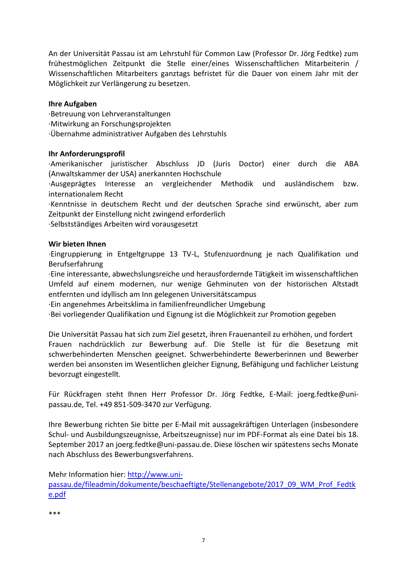An der Universität Passau ist am Lehrstuhl für Common Law (Professor Dr. Jörg Fedtke) zum frühestmöglichen Zeitpunkt die Stelle einer/eines Wissenschaftlichen Mitarbeiterin / Wissenschaftlichen Mitarbeiters ganztags befristet für die Dauer von einem Jahr mit der Möglichkeit zur Verlängerung zu besetzen.

#### **Ihre Aufgaben**

·Betreuung von Lehrveranstaltungen ·Mitwirkung an Forschungsprojekten

·Übernahme administrativer Aufgaben des Lehrstuhls

#### **Ihr Anforderungsprofil**

·Amerikanischer juristischer Abschluss JD (Juris Doctor) einer durch die ABA (Anwaltskammer der USA) anerkannten Hochschule

·Ausgeprägtes Interesse an vergleichender Methodik und ausländischem bzw. internationalem Recht

·Kenntnisse in deutschem Recht und der deutschen Sprache sind erwünscht, aber zum Zeitpunkt der Einstellung nicht zwingend erforderlich

·Selbstständiges Arbeiten wird vorausgesetzt

#### **Wir bieten Ihnen**

·Eingruppierung in Entgeltgruppe 13 TV-L, Stufenzuordnung je nach Qualifikation und Berufserfahrung

·Eine interessante, abwechslungsreiche und herausfordernde Tätigkeit im wissenschaftlichen Umfeld auf einem modernen, nur wenige Gehminuten von der historischen Altstadt entfernten und idyllisch am Inn gelegenen Universitätscampus

·Ein angenehmes Arbeitsklima in familienfreundlicher Umgebung

·Bei vorliegender Qualifikation und Eignung ist die Möglichkeit zur Promotion gegeben

Die Universität Passau hat sich zum Ziel gesetzt, ihren Frauenanteil zu erhöhen, und fordert Frauen nachdrücklich zur Bewerbung auf. Die Stelle ist für die Besetzung mit schwerbehinderten Menschen geeignet. Schwerbehinderte Bewerberinnen und Bewerber werden bei ansonsten im Wesentlichen gleicher Eignung, Befähigung und fachlicher Leistung bevorzugt eingestellt.

Für Rückfragen steht Ihnen Herr Professor Dr. Jörg Fedtke, E-Mail: joerg.fedtke@unipassau.de, Tel. +49 851-509-3470 zur Verfügung.

Ihre Bewerbung richten Sie bitte per E-Mail mit aussagekräftigen Unterlagen (insbesondere Schul- und Ausbildungszeugnisse, Arbeitszeugnisse) nur im PDF-Format als eine Datei bis 18. September 2017 an joerg.fedtke@uni-passau.de. Diese löschen wir spätestens sechs Monate nach Abschluss des Bewerbungsverfahrens.

Mehr Information hier: [http://www.uni-](http://www.uni-passau.de/fileadmin/dokumente/beschaeftigte/Stellenangebote/2017_09_WM_Prof_Fedtke.pdf)

[passau.de/fileadmin/dokumente/beschaeftigte/Stellenangebote/2017\\_09\\_WM\\_Prof\\_Fedtk](http://www.uni-passau.de/fileadmin/dokumente/beschaeftigte/Stellenangebote/2017_09_WM_Prof_Fedtke.pdf) [e.pdf](http://www.uni-passau.de/fileadmin/dokumente/beschaeftigte/Stellenangebote/2017_09_WM_Prof_Fedtke.pdf)

\*\*\*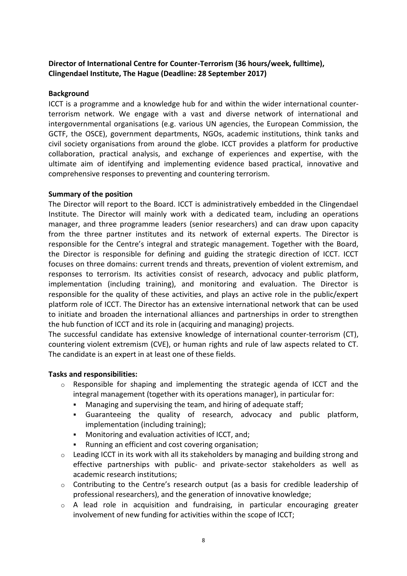## <span id="page-9-0"></span>**Director of International Centre for Counter-Terrorism (36 hours/week, fulltime), Clingendael Institute, The Hague (Deadline: 28 September 2017)**

#### **Background**

ICCT is a programme and a knowledge hub for and within the wider international counterterrorism network. We engage with a vast and diverse network of international and intergovernmental organisations (e.g. various UN agencies, the European Commission, the GCTF, the OSCE), government departments, NGOs, academic institutions, think tanks and civil society organisations from around the globe. ICCT provides a platform for productive collaboration, practical analysis, and exchange of experiences and expertise, with the ultimate aim of identifying and implementing evidence based practical, innovative and comprehensive responses to preventing and countering terrorism.

#### **Summary of the position**

The Director will report to the Board. ICCT is administratively embedded in the Clingendael Institute. The Director will mainly work with a dedicated team, including an operations manager, and three programme leaders (senior researchers) and can draw upon capacity from the three partner institutes and its network of external experts. The Director is responsible for the Centre's integral and strategic management. Together with the Board, the Director is responsible for defining and guiding the strategic direction of ICCT. ICCT focuses on three domains: current trends and threats, prevention of violent extremism, and responses to terrorism. Its activities consist of research, advocacy and public platform, implementation (including training), and monitoring and evaluation. The Director is responsible for the quality of these activities, and plays an active role in the public/expert platform role of ICCT. The Director has an extensive international network that can be used to initiate and broaden the international alliances and partnerships in order to strengthen the hub function of ICCT and its role in (acquiring and managing) projects.

The successful candidate has extensive knowledge of international counter-terrorism (CT), countering violent extremism (CVE), or human rights and rule of law aspects related to CT. The candidate is an expert in at least one of these fields.

#### **Tasks and responsibilities:**

- o Responsible for shaping and implementing the strategic agenda of ICCT and the integral management (together with its operations manager), in particular for:
	- Managing and supervising the team, and hiring of adequate staff;
	- Guaranteeing the quality of research, advocacy and public platform, implementation (including training);
	- Monitoring and evaluation activities of ICCT, and;
	- Running an efficient and cost covering organisation;
- $\circ$  Leading ICCT in its work with all its stakeholders by managing and building strong and effective partnerships with public- and private-sector stakeholders as well as academic research institutions;
- o Contributing to the Centre's research output (as a basis for credible leadership of professional researchers), and the generation of innovative knowledge;
- $\circ$  A lead role in acquisition and fundraising, in particular encouraging greater involvement of new funding for activities within the scope of ICCT;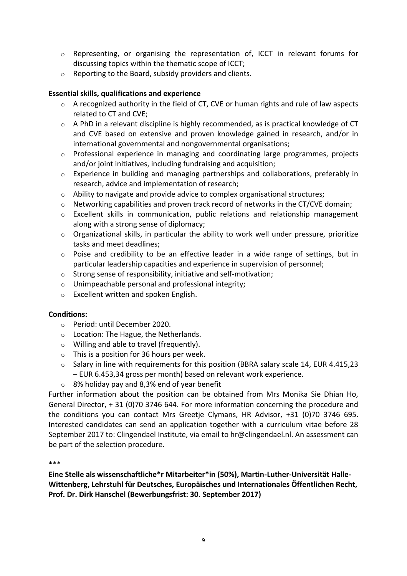- o Representing, or organising the representation of, ICCT in relevant forums for discussing topics within the thematic scope of ICCT;
- o Reporting to the Board, subsidy providers and clients.

## **Essential skills, qualifications and experience**

- o A recognized authority in the field of CT, CVE or human rights and rule of law aspects related to CT and CVE;
- $\circ$  A PhD in a relevant discipline is highly recommended, as is practical knowledge of CT and CVE based on extensive and proven knowledge gained in research, and/or in international governmental and nongovernmental organisations;
- o Professional experience in managing and coordinating large programmes, projects and/or joint initiatives, including fundraising and acquisition;
- $\circ$  Experience in building and managing partnerships and collaborations, preferably in research, advice and implementation of research;
- $\circ$  Ability to navigate and provide advice to complex organisational structures;
- o Networking capabilities and proven track record of networks in the CT/CVE domain;
- o Excellent skills in communication, public relations and relationship management along with a strong sense of diplomacy;
- $\circ$  Organizational skills, in particular the ability to work well under pressure, prioritize tasks and meet deadlines;
- o Poise and credibility to be an effective leader in a wide range of settings, but in particular leadership capacities and experience in supervision of personnel;
- o Strong sense of responsibility, initiative and self-motivation;
- o Unimpeachable personal and professional integrity;
- o Excellent written and spoken English.

## **Conditions:**

- o Period: until December 2020.
- o Location: The Hague, the Netherlands.
- o Willing and able to travel (frequently).
- $\circ$  This is a position for 36 hours per week.
- o Salary in line with requirements for this position (BBRA salary scale 14, EUR 4.415,23 – EUR 6.453,34 gross per month) based on relevant work experience.
- o 8% holiday pay and 8,3% end of year benefit

Further information about the position can be obtained from Mrs Monika Sie Dhian Ho, General Director, + 31 (0)70 3746 644. For more information concerning the procedure and the conditions you can contact Mrs Greetje Clymans, HR Advisor, +31 (0)70 3746 695. Interested candidates can send an application together with a curriculum vitae before 28 September 2017 to: Clingendael Institute, via email to hr@clingendael.nl. An assessment can be part of the selection procedure.

\*\*\*

<span id="page-10-0"></span>**Eine Stelle als wissenschaftliche\*r Mitarbeiter\*in (50%), Martin-Luther-Universität Halle-Wittenberg, Lehrstuhl für Deutsches, Europäisches und Internationales Öffentlichen Recht, Prof. Dr. Dirk Hanschel (Bewerbungsfrist: 30. September 2017)**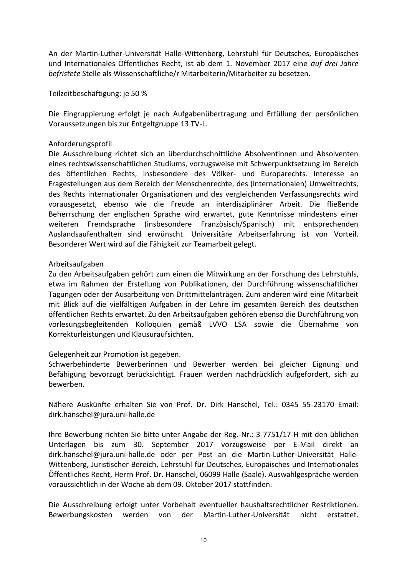An der Martin-Luther-Universität Halle-Wittenberg, Lehrstuhl für Deutsches, Europäisches und Internationales Öffentliches Recht, ist ab dem 1. November 2017 eine *auf drei Jahre befristete* Stelle als Wissenschaftliche/r Mitarbeiterin/Mitarbeiter zu besetzen.

Teilzeitbeschäftigung: je 50 %

Die Eingruppierung erfolgt je nach Aufgabenübertragung und Erfüllung der persönlichen Voraussetzungen bis zur Entgeltgruppe 13 TV-L.

#### Anforderungsprofil

Die Ausschreibung richtet sich an überdurchschnittliche Absolventinnen und Absolventen eines rechtswissenschaftlichen Studiums, vorzugsweise mit Schwerpunktsetzung im Bereich des öffentlichen Rechts, insbesondere des Völker- und Europarechts. Interesse an Fragestellungen aus dem Bereich der Menschenrechte, des (internationalen) Umweltrechts, des Rechts internationaler Organisationen und des vergleichenden Verfassungsrechts wird vorausgesetzt, ebenso wie die Freude an interdisziplinärer Arbeit. Die fließende Beherrschung der englischen Sprache wird erwartet, gute Kenntnisse mindestens einer weiteren Fremdsprache (insbesondere Französisch/Spanisch) mit entsprechenden Auslandsaufenthalten sind erwünscht. Universitäre Arbeitserfahrung ist von Vorteil. Besonderer Wert wird auf die Fähigkeit zur Teamarbeit gelegt.

#### Arbeitsaufgaben

Zu den Arbeitsaufgaben gehört zum einen die Mitwirkung an der Forschung des Lehrstuhls, etwa im Rahmen der Erstellung von Publikationen, der Durchführung wissenschaftlicher Tagungen oder der Ausarbeitung von Drittmittelanträgen. Zum anderen wird eine Mitarbeit mit Blick auf die vielfältigen Aufgaben in der Lehre im gesamten Bereich des deutschen öffentlichen Rechts erwartet. Zu den Arbeitsaufgaben gehören ebenso die Durchführung von vorlesungsbegleitenden Kolloquien gemäß LVVO LSA sowie die Übernahme von Korrekturleistungen und Klausuraufsichten.

## Gelegenheit zur Promotion ist gegeben.

Schwerbehinderte Bewerberinnen und Bewerber werden bei gleicher Eignung und Befähigung bevorzugt berücksichtigt. Frauen werden nachdrücklich aufgefordert, sich zu bewerben.

Nähere Auskünfte erhalten Sie von Prof. Dr. Dirk Hanschel, Tel.: 0345 55-23170 Email: dirk.hanschel@jura.uni-halle.de

Ihre Bewerbung richten Sie bitte unter Angabe der Reg.-Nr.: 3-7751/17-H mit den üblichen Unterlagen bis zum 30. September 2017 vorzugsweise per E-Mail direkt an dirk.hanschel@jura.uni-halle.de oder per Post an die Martin-Luther-Universität Halle-Wittenberg, Juristischer Bereich, Lehrstuhl für Deutsches, Europäisches und Internationales Öffentliches Recht, Herrn Prof. Dr. Hanschel, 06099 Halle (Saale). Auswahlgespräche werden voraussichtlich in der Woche ab dem 09. Oktober 2017 stattfinden.

Die Ausschreibung erfolgt unter Vorbehalt eventueller haushaltsrechtlicher Restriktionen. Bewerbungskosten werden von der Martin-Luther-Universität nicht erstattet.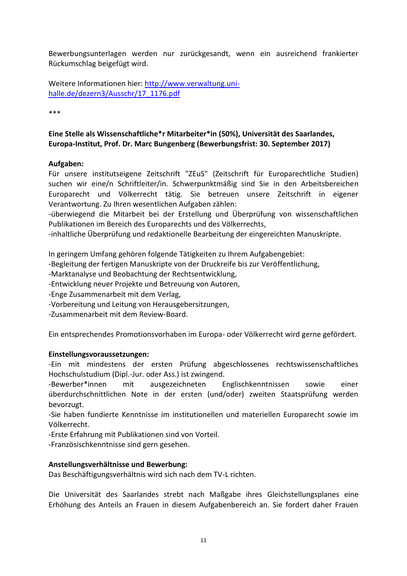Bewerbungsunterlagen werden nur zurückgesandt, wenn ein ausreichend frankierter Rückumschlag beigefügt wird.

Weitere Informationen hier: [http://www.verwaltung.uni](http://www.verwaltung.uni-halle.de/dezern3/Ausschr/17_1176.pdf)[halle.de/dezern3/Ausschr/17\\_1176.pdf](http://www.verwaltung.uni-halle.de/dezern3/Ausschr/17_1176.pdf)

\*\*\*

## <span id="page-12-0"></span>**Eine Stelle als Wissenschaftliche\*r Mitarbeiter\*in (50%), Universität des Saarlandes, Europa-Institut, Prof. Dr. Marc Bungenberg (Bewerbungsfrist: 30. September 2017)**

## **Aufgaben:**

Für unsere institutseigene Zeitschrift "ZEuS" (Zeitschrift für Europarechtliche Studien) suchen wir eine/n Schriftleiter/in. Schwerpunktmäßig sind Sie in den Arbeitsbereichen Europarecht und Völkerrecht tätig. Sie betreuen unsere Zeitschrift in eigener Verantwortung. Zu Ihren wesentlichen Aufgaben zählen:

-überwiegend die Mitarbeit bei der Erstellung und Überprüfung von wissenschaftlichen Publikationen im Bereich des Europarechts und des Völkerrechts,

-inhaltliche Überprüfung und redaktionelle Bearbeitung der eingereichten Manuskripte.

In geringem Umfang gehören folgende Tätigkeiten zu Ihrem Aufgabengebiet:

-Begleitung der fertigen Manuskripte von der Druckreife bis zur Veröffentlichung,

-Marktanalyse und Beobachtung der Rechtsentwicklung,

-Entwicklung neuer Projekte und Betreuung von Autoren,

-Enge Zusammenarbeit mit dem Verlag,

-Vorbereitung und Leitung von Herausgebersitzungen,

-Zusammenarbeit mit dem Review-Board.

Ein entsprechendes Promotionsvorhaben im Europa- oder Völkerrecht wird gerne gefördert.

#### **Einstellungsvoraussetzungen:**

-Ein mit mindestens der ersten Prüfung abgeschlossenes rechtswissenschaftliches Hochschulstudium (Dipl.-Jur. oder Ass.) ist zwingend.

-Bewerber\*innen mit ausgezeichneten Englischkenntnissen sowie einer überdurchschnittlichen Note in der ersten (und/oder) zweiten Staatsprüfung werden bevorzugt.

-Sie haben fundierte Kenntnisse im institutionellen und materiellen Europarecht sowie im Völkerrecht.

-Erste Erfahrung mit Publikationen sind von Vorteil.

-Französischkenntnisse sind gern gesehen.

#### **Anstellungsverhältnisse und Bewerbung:**

Das Beschäftigungsverhältnis wird sich nach dem TV-L richten.

Die Universität des Saarlandes strebt nach Maßgabe ihres Gleichstellungsplanes eine Erhöhung des Anteils an Frauen in diesem Aufgabenbereich an. Sie fordert daher Frauen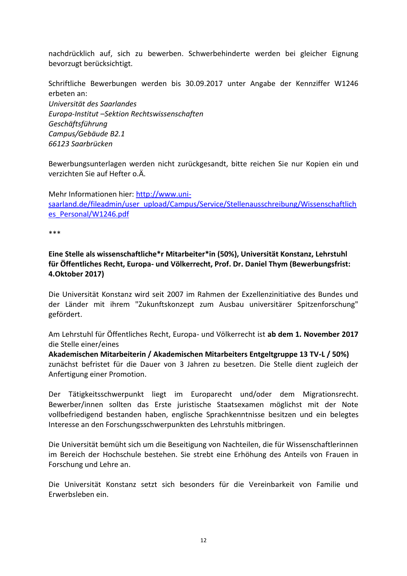nachdrücklich auf, sich zu bewerben. Schwerbehinderte werden bei gleicher Eignung bevorzugt berücksichtigt.

Schriftliche Bewerbungen werden bis 30.09.2017 unter Angabe der Kennziffer W1246 erbeten an: *Universität des Saarlandes Europa-Institut –Sektion Rechtswissenschaften Geschäftsführung Campus/Gebäude B2.1 66123 Saarbrücken*

Bewerbungsunterlagen werden nicht zurückgesandt, bitte reichen Sie nur Kopien ein und verzichten Sie auf Hefter o.Ä.

Mehr Informationen hier: [http://www.uni](http://www.uni-saarland.de/fileadmin/user_upload/Campus/Service/Stellenausschreibung/Wissenschaftliches_Personal/W1246.pdf)[saarland.de/fileadmin/user\\_upload/Campus/Service/Stellenausschreibung/Wissenschaftlich](http://www.uni-saarland.de/fileadmin/user_upload/Campus/Service/Stellenausschreibung/Wissenschaftliches_Personal/W1246.pdf) [es\\_Personal/W1246.pdf](http://www.uni-saarland.de/fileadmin/user_upload/Campus/Service/Stellenausschreibung/Wissenschaftliches_Personal/W1246.pdf)

\*\*\*

## <span id="page-13-0"></span>**Eine Stelle als wissenschaftliche\*r Mitarbeiter\*in (50%), Universität Konstanz, Lehrstuhl für Öffentliches Recht, Europa- und Völkerrecht, Prof. Dr. Daniel Thym (Bewerbungsfrist: 4.Oktober 2017)**

Die Universität Konstanz wird seit 2007 im Rahmen der Exzellenzinitiative des Bundes und der Länder mit ihrem "Zukunftskonzept zum Ausbau universitärer Spitzenforschung" gefördert.

Am Lehrstuhl für Öffentliches Recht, Europa- und Völkerrecht ist **ab dem 1. November 2017** die Stelle einer/eines

**Akademischen Mitarbeiterin / Akademischen Mitarbeiters Entgeltgruppe 13 TV-L / 50%)** zunächst befristet für die Dauer von 3 Jahren zu besetzen. Die Stelle dient zugleich der Anfertigung einer Promotion.

Der Tätigkeitsschwerpunkt liegt im Europarecht und/oder dem Migrationsrecht. Bewerber/innen sollten das Erste juristische Staatsexamen möglichst mit der Note vollbefriedigend bestanden haben, englische Sprachkenntnisse besitzen und ein belegtes Interesse an den Forschungsschwerpunkten des Lehrstuhls mitbringen.

Die Universität bemüht sich um die Beseitigung von Nachteilen, die für Wissenschaftlerinnen im Bereich der Hochschule bestehen. Sie strebt eine Erhöhung des Anteils von Frauen in Forschung und Lehre an.

Die Universität Konstanz setzt sich besonders für die Vereinbarkeit von Familie und Erwerbsleben ein.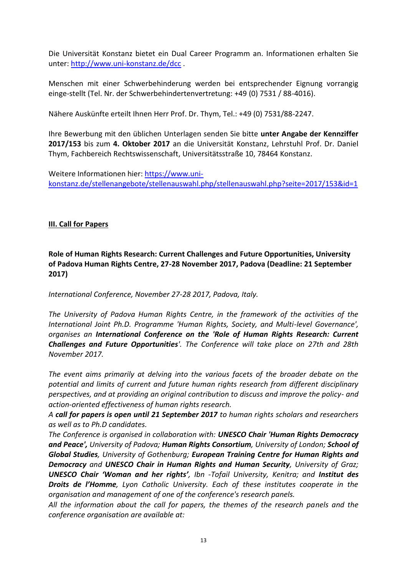Die Universität Konstanz bietet ein Dual Career Programm an. Informationen erhalten Sie unter:<http://www.uni-konstanz.de/dcc> .

Menschen mit einer Schwerbehinderung werden bei entsprechender Eignung vorrangig einge-stellt (Tel. Nr. der Schwerbehindertenvertretung: +49 (0) 7531 / 88-4016).

Nähere Auskünfte erteilt Ihnen Herr Prof. Dr. Thym, Tel.: +49 (0) 7531/88-2247.

Ihre Bewerbung mit den üblichen Unterlagen senden Sie bitte **unter Angabe der Kennziffer 2017/153** bis zum **4. Oktober 2017** an die Universität Konstanz, Lehrstuhl Prof. Dr. Daniel Thym, Fachbereich Rechtswissenschaft, Universitätsstraße 10, 78464 Konstanz.

Weitere Informationen hier: [https://www.uni](https://www.uni-konstanz.de/stellenangebote/stellenauswahl.php/stellenauswahl.php?seite=2017/153&id=1)[konstanz.de/stellenangebote/stellenauswahl.php/stellenauswahl.php?seite=2017/153&id=1](https://www.uni-konstanz.de/stellenangebote/stellenauswahl.php/stellenauswahl.php?seite=2017/153&id=1)

#### <span id="page-14-0"></span>**III. Call for Papers**

<span id="page-14-1"></span>**Role of Human Rights Research: Current Challenges and Future Opportunities, University of Padova Human Rights Centre, 27-28 November 2017, Padova (Deadline: 21 September 2017)**

*International Conference, November 27-28 2017, Padova, Italy.*

*The University of Padova Human Rights Centre, in the framework of the activities of the International Joint Ph.D. Programme 'Human Rights, Society, and Multi-level Governance', organises an International Conference on the 'Role of Human Rights Research: Current Challenges and Future Opportunities'. The Conference will take place on 27th and 28th November 2017.*

*The event aims primarily at delving into the various facets of the broader debate on the potential and limits of current and future human rights research from different disciplinary perspectives, and at providing an original contribution to discuss and improve the policy- and action-oriented effectiveness of human rights research.*

*A call for papers is open until 21 September 2017 to human rights scholars and researchers as well as to Ph.D candidates.*

*The Conference is organised in collaboration with: UNESCO Chair 'Human Rights Democracy and Peace', University of Padova; Human Rights Consortium, University of London; School of Global Studies, University of Gothenburg; European Training Centre for Human Rights and Democracy and UNESCO Chair in Human Rights and Human Security, University of Graz; UNESCO Chair 'Woman and her rights', Ibn -Tofail University, Kenitra; and Institut des Droits de l'Homme, Lyon Catholic University. Each of these institutes cooperate in the organisation and management of one of the conference's research panels.*

*All the information about the call for papers, the themes of the research panels and the conference organisation are available at:*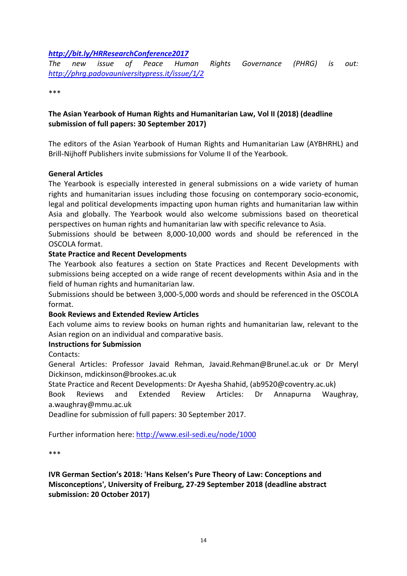#### *<http://bit.ly/HRResearchConference2017>*

*The new issue of Peace Human Rights Governance (PHRG) is out: <http://phrg.padovauniversitypress.it/issue/1/2>*

\*\*\*

## <span id="page-15-0"></span>**The Asian Yearbook of Human Rights and Humanitarian Law, Vol II (2018) (deadline submission of full papers: 30 September 2017)**

The editors of the Asian Yearbook of Human Rights and Humanitarian Law (AYBHRHL) and Brill-Nijhoff Publishers invite submissions for Volume II of the Yearbook.

#### **General Articles**

The Yearbook is especially interested in general submissions on a wide variety of human rights and humanitarian issues including those focusing on contemporary socio-economic, legal and political developments impacting upon human rights and humanitarian law within Asia and globally. The Yearbook would also welcome submissions based on theoretical perspectives on human rights and humanitarian law with specific relevance to Asia.

Submissions should be between 8,000-10,000 words and should be referenced in the OSCOLA format.

#### **State Practice and Recent Developments**

The Yearbook also features a section on State Practices and Recent Developments with submissions being accepted on a wide range of recent developments within Asia and in the field of human rights and humanitarian law.

Submissions should be between 3,000-5,000 words and should be referenced in the OSCOLA format.

## **Book Reviews and Extended Review Articles**

Each volume aims to review books on human rights and humanitarian law, relevant to the Asian region on an individual and comparative basis.

#### **Instructions for Submission**

Contacts:

General Articles: Professor Javaid Rehman, Javaid.Rehman@Brunel.ac.uk or Dr Meryl Dickinson, mdickinson@brookes.ac.uk

State Practice and Recent Developments: Dr Ayesha Shahid, (ab9520@coventry.ac.uk)

Book Reviews and Extended Review Articles: Dr Annapurna Waughray, a.waughray@mmu.ac.uk

Deadline for submission of full papers: 30 September 2017.

Further information here:<http://www.esil-sedi.eu/node/1000>

\*\*\*

## <span id="page-15-1"></span>**IVR German Section's 2018: 'Hans Kelsen's Pure Theory of Law: Conceptions and Misconceptions', University of Freiburg, 27-29 September 2018 (deadline abstract submission: 20 October 2017)**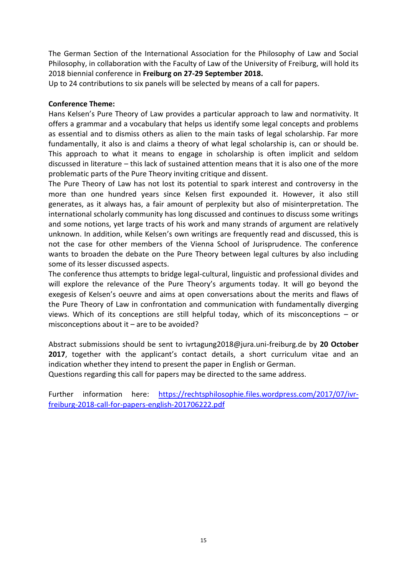The German Section of the International Association for the Philosophy of Law and Social Philosophy, in collaboration with the Faculty of Law of the University of Freiburg, will hold its 2018 biennial conference in **Freiburg on 27-29 September 2018.**

Up to 24 contributions to six panels will be selected by means of a call for papers.

#### **Conference Theme:**

Hans Kelsen's Pure Theory of Law provides a particular approach to law and normativity. It offers a grammar and a vocabulary that helps us identify some legal concepts and problems as essential and to dismiss others as alien to the main tasks of legal scholarship. Far more fundamentally, it also is and claims a theory of what legal scholarship is, can or should be. This approach to what it means to engage in scholarship is often implicit and seldom discussed in literature – this lack of sustained attention means that it is also one of the more problematic parts of the Pure Theory inviting critique and dissent.

The Pure Theory of Law has not lost its potential to spark interest and controversy in the more than one hundred years since Kelsen first expounded it. However, it also still generates, as it always has, a fair amount of perplexity but also of misinterpretation. The international scholarly community has long discussed and continues to discuss some writings and some notions, yet large tracts of his work and many strands of argument are relatively unknown. In addition, while Kelsen's own writings are frequently read and discussed, this is not the case for other members of the Vienna School of Jurisprudence. The conference wants to broaden the debate on the Pure Theory between legal cultures by also including some of its lesser discussed aspects.

The conference thus attempts to bridge legal-cultural, linguistic and professional divides and will explore the relevance of the Pure Theory's arguments today. It will go beyond the exegesis of Kelsen's oeuvre and aims at open conversations about the merits and flaws of the Pure Theory of Law in confrontation and communication with fundamentally diverging views. Which of its conceptions are still helpful today, which of its misconceptions – or misconceptions about it – are to be avoided?

Abstract submissions should be sent to ivrtagung2018@jura.uni-freiburg.de by **20 October**  2017, together with the applicant's contact details, a short curriculum vitae and an indication whether they intend to present the paper in English or German.

Questions regarding this call for papers may be directed to the same address.

Further information here: [https://rechtsphilosophie.files.wordpress.com/2017/07/ivr](https://rechtsphilosophie.files.wordpress.com/2017/07/ivr-freiburg-2018-call-for-papers-english-201706222.pdf)[freiburg-2018-call-for-papers-english-201706222.pdf](https://rechtsphilosophie.files.wordpress.com/2017/07/ivr-freiburg-2018-call-for-papers-english-201706222.pdf)